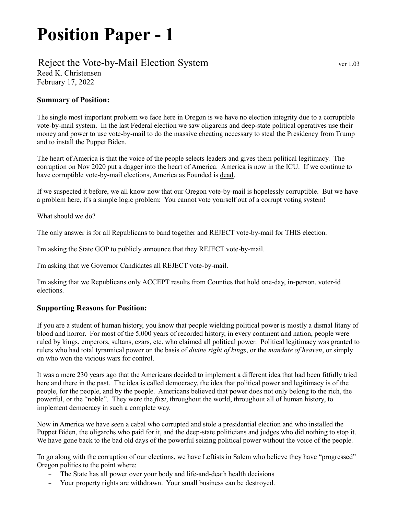## Position Paper - 1

## Reject the Vote-by-Mail Election System ver 1.03 Reed K. Christensen

February 17, 2022

## Summary of Position:

The single most important problem we face here in Oregon is we have no election integrity due to a corruptible vote-by-mail system. In the last Federal election we saw oligarchs and deep-state political operatives use their money and power to use vote-by-mail to do the massive cheating necessary to steal the Presidency from Trump and to install the Puppet Biden.

The heart of America is that the voice of the people selects leaders and gives them political legitimacy. The corruption on Nov 2020 put a dagger into the heart of America. America is now in the ICU. If we continue to have corruptible vote-by-mail elections, America as Founded is dead.

If we suspected it before, we all know now that our Oregon vote-by-mail is hopelessly corruptible. But we have a problem here, it's a simple logic problem: You cannot vote yourself out of a corrupt voting system!

What should we do?

The only answer is for all Republicans to band together and REJECT vote-by-mail for THIS election.

I'm asking the State GOP to publicly announce that they REJECT vote-by-mail.

I'm asking that we Governor Candidates all REJECT vote-by-mail.

I'm asking that we Republicans only ACCEPT results from Counties that hold one-day, in-person, voter-id elections.

## Supporting Reasons for Position:

If you are a student of human history, you know that people wielding political power is mostly a dismal litany of blood and horror. For most of the 5,000 years of recorded history, in every continent and nation, people were ruled by kings, emperors, sultans, czars, etc. who claimed all political power. Political legitimacy was granted to rulers who had total tyrannical power on the basis of *divine right of kings*, or the *mandate of heaven*, or simply on who won the vicious wars for control.

It was a mere 230 years ago that the Americans decided to implement a different idea that had been fitfully tried here and there in the past. The idea is called democracy, the idea that political power and legitimacy is of the people, for the people, and by the people. Americans believed that power does not only belong to the rich, the powerful, or the "noble". They were the first, throughout the world, throughout all of human history, to implement democracy in such a complete way.

Now in America we have seen a cabal who corrupted and stole a presidential election and who installed the Puppet Biden, the oligarchs who paid for it, and the deep-state politicians and judges who did nothing to stop it. We have gone back to the bad old days of the powerful seizing political power without the voice of the people.

To go along with the corruption of our elections, we have Leftists in Salem who believe they have "progressed" Oregon politics to the point where:

- The State has all power over your body and life-and-death health decisions
- Your property rights are withdrawn. Your small business can be destroyed.